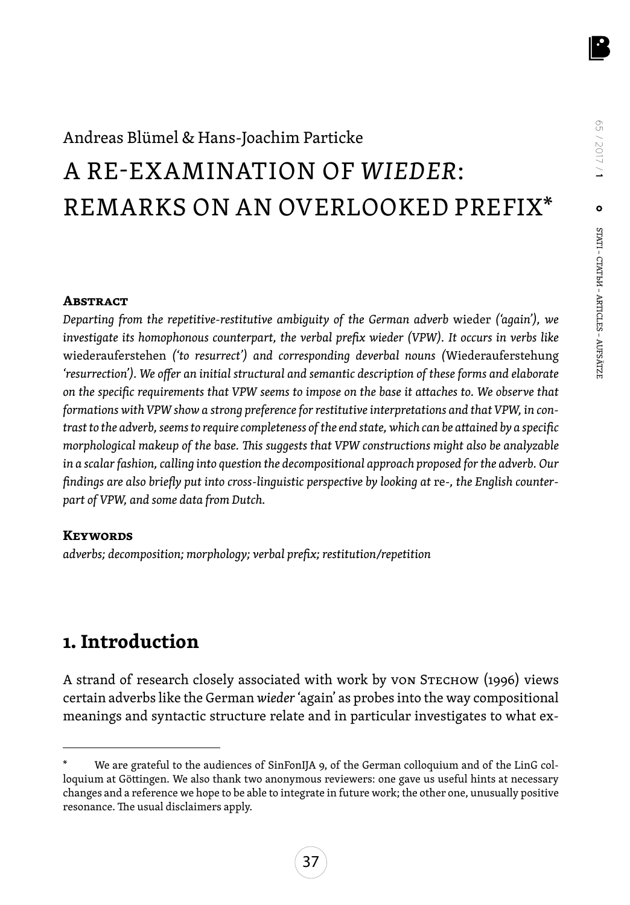## Andreas Blümel & Hans-Joachim Particke A RE-EXAMINATION OF *WIEDER*: REMARKS ON AN OVERLOOKED PREFIX\*

#### **Abstract**

*Departing from the repetitive-restitutive ambiguity of the German adverb* wieder *('again'), we investigate its homophonous counterpart, the verbal prefix wieder (VPW). It occurs in verbs like*  wiederauferstehen *('to resurrect') and corresponding deverbal nouns (*Wiederauferstehung *'resurrection'). We offer an initial structural and semantic description of these forms and elaborate on the specific requirements that VPW seems to impose on the base it attaches to. We observe that formations with VPW show a strong preference for restitutive interpretations and that VPW, in contrast to the adverb, seems to require completeness of the end state, which can be attained by a specific morphological makeup of the base. This suggests that VPW constructions might also be analyzable in a scalar fashion, calling into question the decompositional approach proposed for the adverb. Our*  findings are also briefly put into cross-linguistic perspective by looking at re-, the English counter*part of VPW, and some data from Dutch.*

#### **Keywords**

*adverbs; decomposition; morphology; verbal prefix; restitution/repetition*

### **1. Introduction**

A strand of research closely associated with work by von Stechow (1996) views certain adverbs like the German *wieder* 'again' as probes into the way compositional meanings and syntactic structure relate and in particular investigates to what ex-

We are grateful to the audiences of SinFonIJA 9, of the German colloquium and of the LinG colloquium at Göttingen. We also thank two anonymous reviewers: one gave us useful hints at necessary changes and a reference we hope to be able to integrate in future work; the other one, unusually positive resonance. The usual disclaimers apply.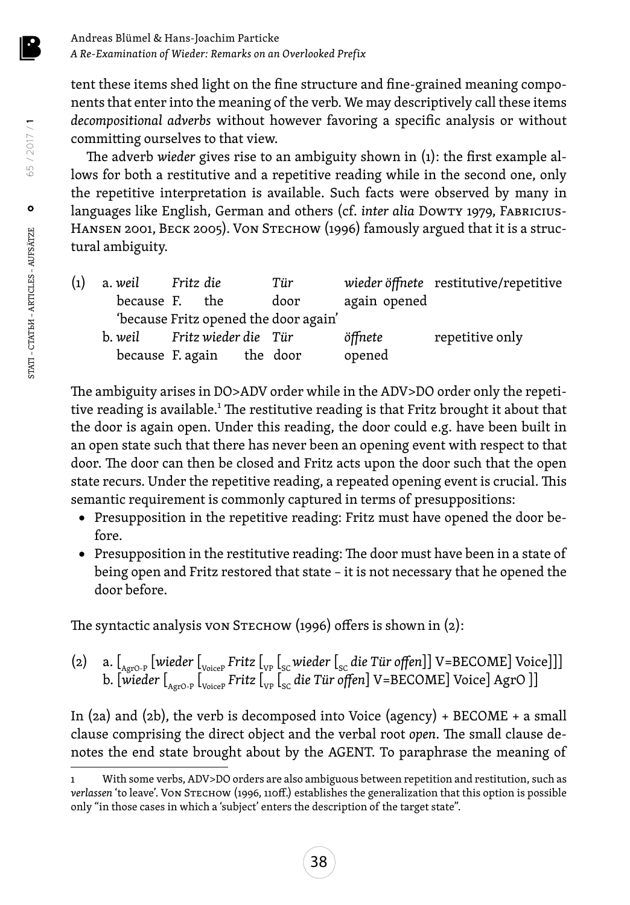tent these items shed light on the fine structure and fine-grained meaning components that enter into the meaning of the verb. We may descriptively call these items *decompositional adverbs* without however favoring a specific analysis or without committing ourselves to that view.

The adverb *wieder* gives rise to an ambiguity shown in (1): the first example allows for both a restitutive and a repetitive reading while in the second one, only the repetitive interpretation is available. Such facts were observed by many in languages like English, German and others (cf. *inter alia Dowry 1979*, FABRICIUS-HANSEN 2001, BECK 2005). VON STECHOW (1996) famously argued that it is a structural ambiguity.

| $\left( 1\right)$ |                              |                                       | Tür  |              | wieder öffnete restitutive/repetitive |
|-------------------|------------------------------|---------------------------------------|------|--------------|---------------------------------------|
|                   |                              | because F. the                        | door | again opened |                                       |
|                   |                              | 'because Fritz opened the door again' |      |              |                                       |
|                   | b. weil Fritz wieder die Tür |                                       |      | öffnete      | repetitive only                       |
|                   |                              | because F. again the door             |      | opened       |                                       |

The ambiguity arises in DO>ADV order while in the ADV>DO order only the repetitive reading is available.<sup>1</sup> The restitutive reading is that Fritz brought it about that the door is again open. Under this reading, the door could e.g. have been built in an open state such that there has never been an opening event with respect to that door. The door can then be closed and Fritz acts upon the door such that the open state recurs. Under the repetitive reading, a repeated opening event is crucial. This semantic requirement is commonly captured in terms of presuppositions:

- • Presupposition in the repetitive reading: Fritz must have opened the door before.
- • Presupposition in the restitutive reading: The door must have been in a state of being open and Fritz restored that state – it is not necessary that he opened the door before.

The syntactic analysis von S $r =$  The syntactic analysis von S $r = 1$  (2):

(2) a. [<sub>AgrO-P</sub> [wieder [<sub>VoiceP</sub> Fritz [<sub>VP</sub> [<sub>SC</sub> wieder [<sub>SC</sub> die Tür offen]] V=BECOME] Voice]]] b. [wieder [<sub>AgrO-P</sub> [<sub>VoiceP</sub> Fritz [<sub>VP</sub> [<sub>SC</sub> die Tür offen] V=BECOME] Voice] AgrO ]]

In (2a) and (2b), the verb is decomposed into Voice (agency) + BECOME + a small clause comprising the direct object and the verbal root *open*. The small clause denotes the end state brought about by the AGENT. To paraphrase the meaning of

With some verbs, ADV>DO orders are also ambiguous between repetition and restitution, such as *verlassen* 'to leave'. Von Stechow (1996, 110ff.) establishes the generalization that this option is possible only "in those cases in which a 'subject' enters the description of the target state".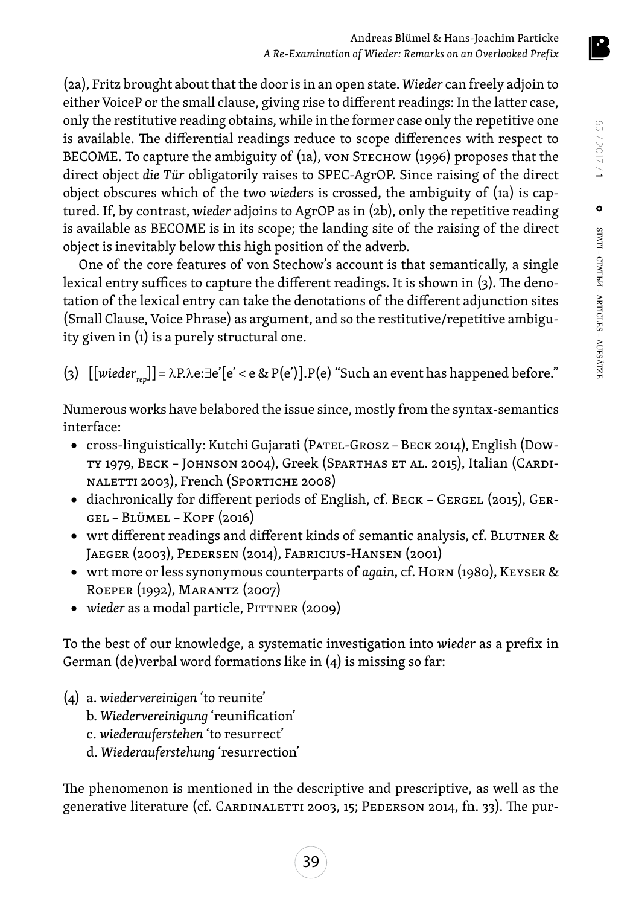(2a), Fritz brought about that the door is in an open state. *Wieder* can freely adjoin to either VoiceP or the small clause, giving rise to different readings: In the latter case, only the restitutive reading obtains, while in the former case only the repetitive one is available. The differential readings reduce to scope differences with respect to BECOME. To capture the ambiguity of  $(i_{1a})$ , von Stechow (1996) proposes that the direct object *die Tür* obligatorily raises to SPEC-AgrOP. Since raising of the direct object obscures which of the two *wieder*s is crossed, the ambiguity of (1a) is captured. If, by contrast, *wieder* adjoins to AgrOP as in (2b), only the repetitive reading is available as BECOME is in its scope; the landing site of the raising of the direct object is inevitably below this high position of the adverb.

One of the core features of von Stechow's account is that semantically, a single lexical entry suffices to capture the different readings. It is shown in (3). The denotation of the lexical entry can take the denotations of the different adjunction sites (Small Clause, Voice Phrase) as argument, and so the restitutive/repetitive ambiguity given in (1) is a purely structural one.

(3) [[*wiederrep*]]= λP.λe:∃e'[e' < e & P(e')].P(e) "Such an event has happened before."

Numerous works have belabored the issue since, mostly from the syntax-semantics interface:

- cross-linguistically: Kutchi Gujarati (PATEL-GROSZ BECK 2014), English (Dowty 1979, Beck – Johnson 2004), Greek (Sparthas et al. 2015), Italian (Cardinaletti 2003), French (Sportiche 2008)
- diachronically for different periods of English, cf. BECK GERGEL (2015), GERgel – Blümel – Kopf (2016)
- wrt different readings and different kinds of semantic analysis, cf. BLUTNER & Jaeger (2003), Pedersen (2014), Fabricius-Hansen (2001)
- • wrt more or less synonymous counterparts of *again*, cf. Horn (1980), Keyser & Roeper (1992), Marantz (2007)
- *wieder* as a modal particle, PITTNER (2009)

To the best of our knowledge, a systematic investigation into *wieder* as a prefix in German (de)verbal word formations like in (4) is missing so far:

- (4) a. *wiedervereinigen* 'to reunite'
	- b. *Wiedervereinigung* 'reunification'
	- c. *wiederauferstehen* 'to resurrect'
	- d. *Wiederauferstehung* 'resurrection'

The phenomenon is mentioned in the descriptive and prescriptive, as well as the generative literature (cf. CARDINALETTI 2003, 15; PEDERSON 2014, fn. 33). The pur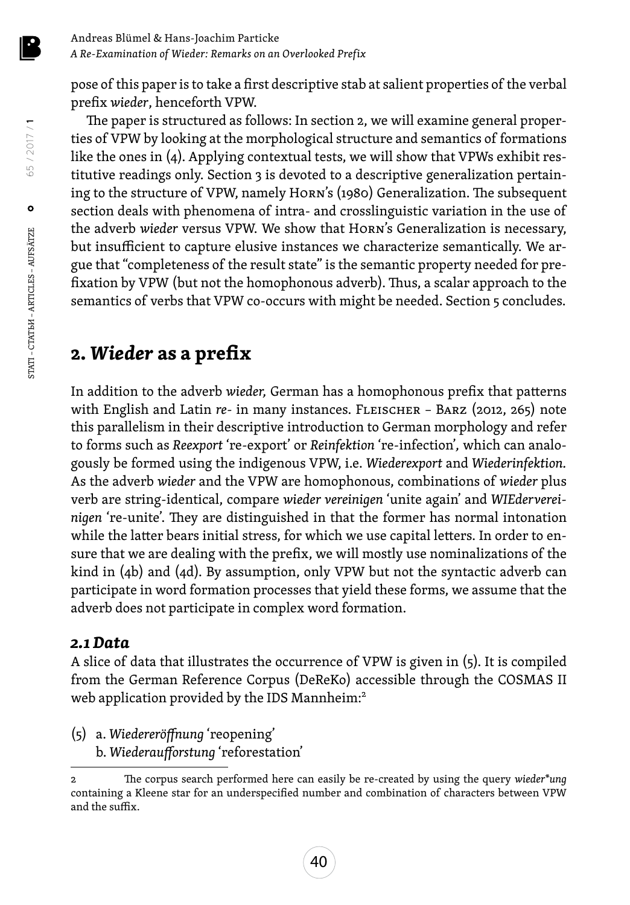pose of this paper is to take a first descriptive stab at salient properties of the verbal prefix *wieder*, henceforth VPW.

The paper is structured as follows: In section 2, we will examine general properties of VPW by looking at the morphological structure and semantics of formations like the ones in (4). Applying contextual tests, we will show that VPWs exhibit restitutive readings only. Section 3 is devoted to a descriptive generalization pertaining to the structure of VPW, namely Horn's (1980) Generalization. The subsequent section deals with phenomena of intra- and crosslinguistic variation in the use of the adverb *wieder* versus VPW. We show that Horn's Generalization is necessary, but insufficient to capture elusive instances we characterize semantically. We argue that "completeness of the result state" is the semantic property needed for prefixation by VPW (but not the homophonous adverb). Thus, a scalar approach to the semantics of verbs that VPW co-occurs with might be needed. Section 5 concludes.

## **2.** *Wieder* **as a prefix**

In addition to the adverb *wieder,* German has a homophonous prefix that patterns with English and Latin *re-* in many instances. Fleischer – Barz (2012, 265) note this parallelism in their descriptive introduction to German morphology and refer to forms such as *Reexport* 're-export' or *Reinfektion* 're-infection'*,* which can analogously be formed using the indigenous VPW, i.e. *Wiederexport* and *Wiederinfektion.* As the adverb *wieder* and the VPW are homophonous, combinations of *wieder* plus verb are string-identical, compare *wieder vereinigen* 'unite again' and *WIEdervereinigen* 're-unite'. They are distinguished in that the former has normal intonation while the latter bears initial stress, for which we use capital letters. In order to ensure that we are dealing with the prefix, we will mostly use nominalizations of the kind in (4b) and (4d). By assumption, only VPW but not the syntactic adverb can participate in word formation processes that yield these forms, we assume that the adverb does not participate in complex word formation.

#### *2.1 Data*

A slice of data that illustrates the occurrence of VPW is given in (5). It is compiled from the German Reference Corpus (DeReKo) accessible through the COSMAS II web application provided by the IDS Mannheim:<sup>2</sup>

(5) a. *Wiedereröffnung* 'reopening' b. *Wiederaufforstung* 'reforestation'

STATI – СТАТЬИ – ARTICLES – AUFSÄTZE

65 / 2017 / **1**

<sup>2</sup> The corpus search performed here can easily be re-created by using the query *wieder\*ung*  containing a Kleene star for an underspecified number and combination of characters between VPW and the suffix.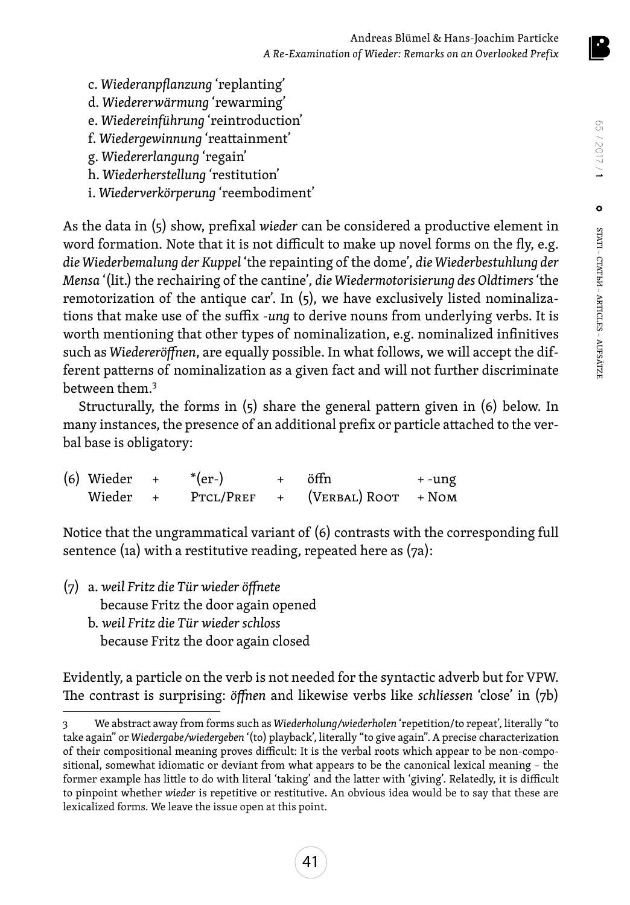- c. *Wiederanpflanzung* 'replanting'
- d. *Wiedererwärmung* 'rewarming'
- e. *Wiedereinführung* 'reintroduction'
- f. *Wiedergewinnung* 'reattainment'
- g. *Wiedererlangung* 'regain'
- h. *Wiederherstellung* 'restitution'
- i. *Wiederverkörperung* 'reembodiment'

As the data in (5) show, prefixal *wieder* can be considered a productive element in word formation. Note that it is not difficult to make up novel forms on the fly, e.g. *die Wiederbemalung der Kuppel* 'the repainting of the dome'*, die Wiederbestuhlung der Mensa* '(lit.) the rechairing of the cantine'*, die Wiedermotorisierung des Oldtimers* 'the remotorization of the antique car'. In  $(5)$ , we have exclusively listed nominalizations that make use of the suffix -*ung* to derive nouns from underlying verbs. It is worth mentioning that other types of nominalization, e.g. nominalized infinitives such as *Wiedereröffnen*, are equally possible. In what follows, we will accept the different patterns of nominalization as a given fact and will not further discriminate between them.3

Structurally, the forms in (5) share the general pattern given in (6) below. In many instances, the presence of an additional prefix or particle attached to the verbal base is obligatory:

| $(6)$ Wieder $+$ |     | $*(er-)$  | + öffn                | + -ung |
|------------------|-----|-----------|-----------------------|--------|
| Wieder           | $+$ | PTCL/PREF | + (VERBAL) ROOT + NOM |        |

Notice that the ungrammatical variant of (6) contrasts with the corresponding full sentence (1a) with a restitutive reading, repeated here as (7a):

(7) a. *weil Fritz die Tür wieder öffnete* because Fritz the door again opened b. *weil Fritz die Tür wieder schloss*

because Fritz the door again closed

Evidently, a particle on the verb is not needed for the syntactic adverb but for VPW. The contrast is surprising: *öffnen* and likewise verbs like *schliessen* 'close' in (7b)

<sup>3</sup> We abstract away from forms such as *Wiederholung/wiederholen* 'repetition/to repeat', literally "to take again" or *Wiedergabe/wiedergeben* '(to) playback', literally "to give again". A precise characterization of their compositional meaning proves difficult: It is the verbal roots which appear to be non-compositional, somewhat idiomatic or deviant from what appears to be the canonical lexical meaning – the former example has little to do with literal 'taking' and the latter with 'giving'. Relatedly, it is difficult to pinpoint whether *wieder* is repetitive or restitutive. An obvious idea would be to say that these are lexicalized forms. We leave the issue open at this point.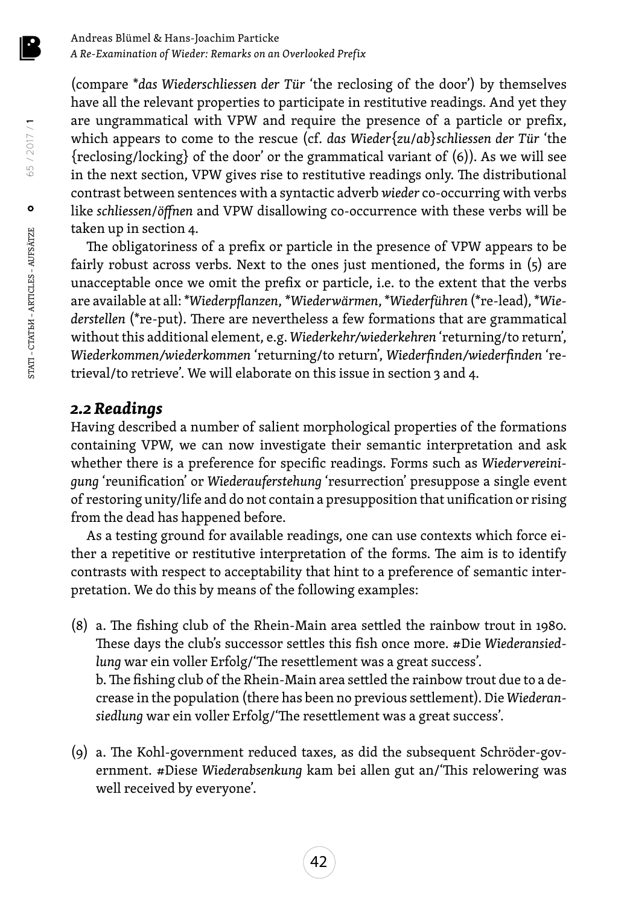(compare \**das Wiederschliessen der Tür* 'the reclosing of the door') by themselves have all the relevant properties to participate in restitutive readings. And yet they are ungrammatical with VPW and require the presence of a particle or prefix, which appears to come to the rescue (cf. *das Wieder*{*zu*/*ab*}*schliessen der Tür* 'the {reclosing/locking} of the door' or the grammatical variant of (6)). As we will see in the next section, VPW gives rise to restitutive readings only. The distributional contrast between sentences with a syntactic adverb *wieder* co-occurring with verbs like *schliessen*/*öffnen* and VPW disallowing co-occurrence with these verbs will be taken up in section 4.

The obligatoriness of a prefix or particle in the presence of VPW appears to be fairly robust across verbs. Next to the ones just mentioned, the forms in (5) are unacceptable once we omit the prefix or particle, i.e. to the extent that the verbs are available at all: \**Wiederpflanzen*, *\*Wiederwärmen*, \**Wiederführen* (\*re-lead), \**Wiederstellen* (\*re-put)*.* There are nevertheless a few formations that are grammatical without this additional element, e.g. *Wiederkehr/wiederkehren* 'returning/to return', *Wiederkommen/wiederkommen* 'returning/to return', *Wiederfinden/wiederfinden* 'retrieval/to retrieve'. We will elaborate on this issue in section 3 and 4.

#### *2.2 Readings*

Having described a number of salient morphological properties of the formations containing VPW, we can now investigate their semantic interpretation and ask whether there is a preference for specific readings. Forms such as *Wiedervereinigung* 'reunification' or *Wiederauferstehung* 'resurrection' presuppose a single event of restoring unity/life and do not contain a presupposition that unification or rising from the dead has happened before.

As a testing ground for available readings, one can use contexts which force either a repetitive or restitutive interpretation of the forms. The aim is to identify contrasts with respect to acceptability that hint to a preference of semantic interpretation. We do this by means of the following examples:

- (8) a. The fishing club of the Rhein-Main area settled the rainbow trout in 1980. These days the club's successor settles this fish once more. #Die *Wiederansiedlung* war ein voller Erfolg/'The resettlement was a great success'. b. The fishing club of the Rhein-Main area settled the rainbow trout due to a decrease in the population (there has been no previous settlement). Die *Wiederansiedlung* war ein voller Erfolg/'The resettlement was a great success'.
- (9) a. The Kohl-government reduced taxes, as did the subsequent Schröder-government. #Diese *Wiederabsenkung* kam bei allen gut an/'This relowering was well received by everyone'.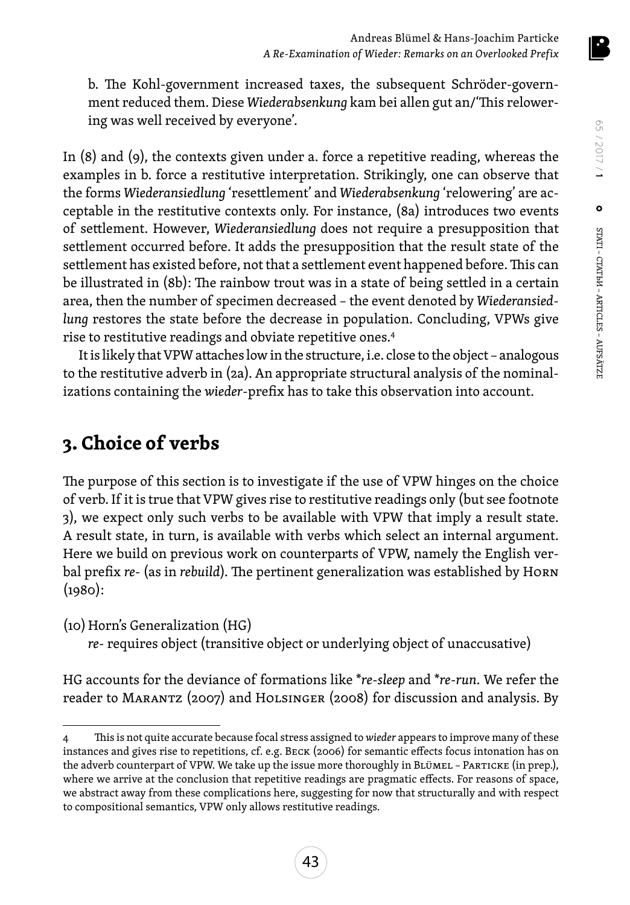b. The Kohl-government increased taxes, the subsequent Schröder-government reduced them. Diese *Wiederabsenkung* kam bei allen gut an/'This relowering was well received by everyone'.

In (8) and (9), the contexts given under a. force a repetitive reading, whereas the examples in b. force a restitutive interpretation. Strikingly, one can observe that the forms *Wiederansiedlung* 'resettlement' and *Wiederabsenkung* 'relowering' are acceptable in the restitutive contexts only. For instance, (8a) introduces two events of settlement. However, *Wiederansiedlung* does not require a presupposition that settlement occurred before. It adds the presupposition that the result state of the settlement has existed before, not that a settlement event happened before. This can be illustrated in (8b): The rainbow trout was in a state of being settled in a certain area, then the number of specimen decreased – the event denoted by *Wiederansiedlung* restores the state before the decrease in population. Concluding, VPWs give rise to restitutive readings and obviate repetitive ones.4

It is likely that VPW attaches low in the structure, i.e. close to the object – analogous to the restitutive adverb in (2a). An appropriate structural analysis of the nominalizations containing the *wieder-*prefix has to take this observation into account.

## **3. Choice of verbs**

The purpose of this section is to investigate if the use of VPW hinges on the choice of verb. If it is true that VPW gives rise to restitutive readings only (but see footnote 3), we expect only such verbs to be available with VPW that imply a result state. A result state, in turn, is available with verbs which select an internal argument. Here we build on previous work on counterparts of VPW, namely the English verbal prefix *re-* (as in *rebuild*). The pertinent generalization was established by Horn  $(1980):$ 

(10)Horn's Generalization (HG)

*re*- requires object (transitive object or underlying object of unaccusative)

HG accounts for the deviance of formations like \**re*-*sleep* and \**re*-*run*. We refer the reader to Marantz (2007) and Holsinger (2008) for discussion and analysis. By

<sup>4</sup> This is not quite accurate because focal stress assigned to *wieder* appears to improve many of these instances and gives rise to repetitions, cf. e.g. Beck (2006) for semantic effects focus intonation has on the adverb counterpart of VPW. We take up the issue more thoroughly in BLÜMEL – PARTICKE (in prep.), where we arrive at the conclusion that repetitive readings are pragmatic effects. For reasons of space, we abstract away from these complications here, suggesting for now that structurally and with respect to compositional semantics, VPW only allows restitutive readings.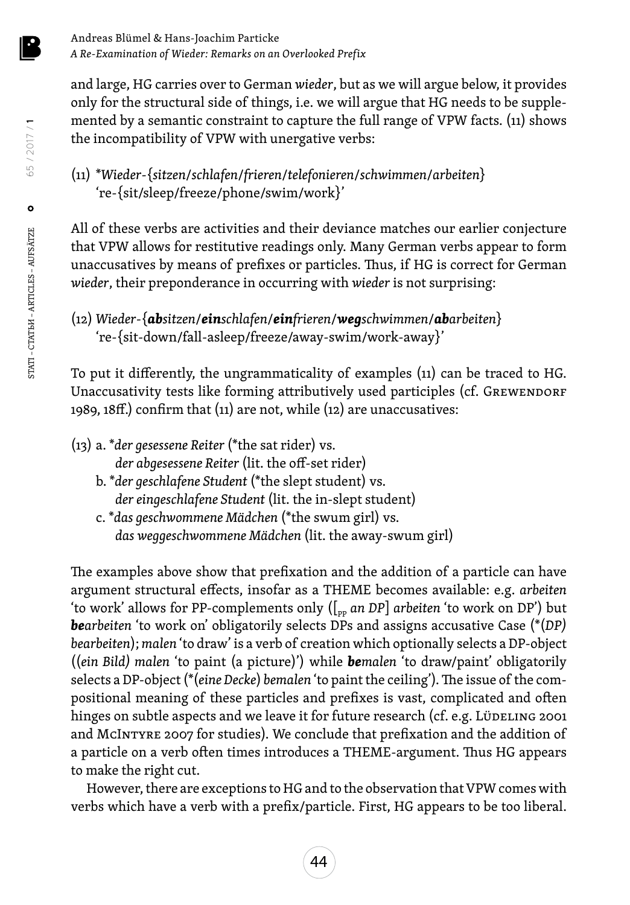and large, HG carries over to German *wieder*, but as we will argue below, it provides only for the structural side of things, i.e. we will argue that HG needs to be supplemented by a semantic constraint to capture the full range of VPW facts. (11) shows the incompatibility of VPW with unergative verbs:

(11) \**Wieder*-{*sitzen*/*schlafen*/*frieren*/*telefonieren*/*schwimmen*/*arbeiten*} 're-{sit/sleep/freeze/phone/swim/work}'

All of these verbs are activities and their deviance matches our earlier conjecture that VPW allows for restitutive readings only. Many German verbs appear to form unaccusatives by means of prefixes or particles. Thus, if HG is correct for German *wieder*, their preponderance in occurring with *wieder* is not surprising:

(12) *Wieder*-{*absitzen*/*einschlafen*/*einfrieren*/*wegschwimmen*/*abarbeiten*} 're-{sit-down/fall-asleep/freeze/away-swim/work-away}'

To put it differently, the ungrammaticality of examples (11) can be traced to HG. Unaccusativity tests like forming attributively used participles (cf. GREWENDORF 1989, 18ff.) confirm that (11) are not, while (12) are unaccusatives:

- (13) a. \**der gesessene Reiter* (\*the sat rider) vs.
	- *der abgesessene Reiter* (lit. the off-set rider)
	- b. \**der geschlafene Student* (\*the slept student) vs.  *der eingeschlafene Student* (lit. the in-slept student)
	- c. \**das geschwommene Mädchen* (\*the swum girl) vs.  *das weggeschwommene Mädchen* (lit. the away-swum girl)

The examples above show that prefixation and the addition of a particle can have argument structural effects, insofar as a THEME becomes available: e.g. *arbeiten* 'to work' allows for PP-complements only ([<sub>pp</sub> an DP] arbeiten 'to work on DP') but *bearbeiten* 'to work on' obligatorily selects DPs and assigns accusative Case (\*(*DP) bearbeiten*); *malen* 'to draw' is a verb of creation which optionally selects a DP-object ((*ein Bild) malen* 'to paint (a picture)') while *bemalen* 'to draw/paint' obligatorily selects a DP-object (\*(*eine Decke*) *bemalen* 'to paint the ceiling'). The issue of the compositional meaning of these particles and prefixes is vast, complicated and often hinges on subtle aspects and we leave it for future research (cf. e.g. Lüdeling 2001 and McIntyre 2007 for studies). We conclude that prefixation and the addition of a particle on a verb often times introduces a THEME-argument. Thus HG appears to make the right cut.

However, there are exceptions to HG and to the observation that VPW comes with verbs which have a verb with a prefix/particle. First, HG appears to be too liberal.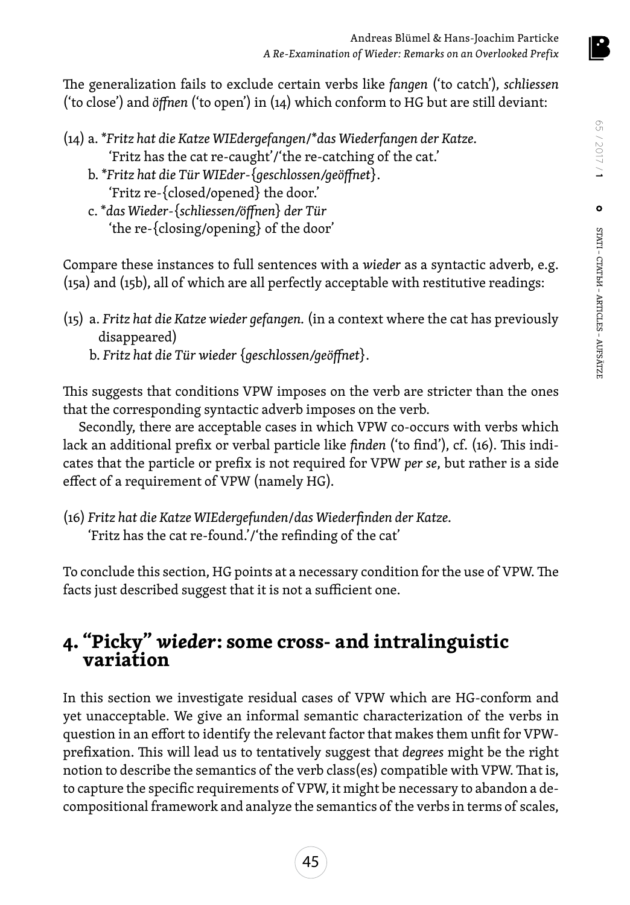

The generalization fails to exclude certain verbs like *fangen* ('to catch'), *schliessen* ('to close') and *öffnen* ('to open') in (14) which conform to HG but are still deviant:

- (14) a. \**Fritz hat die Katze WIEdergefangen*/\**das Wiederfangen der Katze.* 'Fritz has the cat re-caught'/'the re-catching of the cat.'
	- b. \**Fritz hat die Tür WIEder-*{*geschlossen/geöffnet*}. 'Fritz re-{closed/opened} the door.'
	- c. \**das Wieder-*{*schliessen/öffnen*} *der Tür* 'the re-{closing/opening} of the door'

Compare these instances to full sentences with a *wieder* as a syntactic adverb, e.g. (15a) and (15b), all of which are all perfectly acceptable with restitutive readings:

(15) a. *Fritz hat die Katze wieder gefangen.* (in a context where the cat has previously disappeared)

b. *Fritz hat die Tür wieder* {*geschlossen/geöffnet*}.

This suggests that conditions VPW imposes on the verb are stricter than the ones that the corresponding syntactic adverb imposes on the verb.

Secondly, there are acceptable cases in which VPW co-occurs with verbs which lack an additional prefix or verbal particle like *finden* ('to find'), cf. (16). This indicates that the particle or prefix is not required for VPW *per se*, but rather is a side effect of a requirement of VPW (namely HG).

(16) *Fritz hat die Katze WIEdergefunden*/*das Wiederfinden der Katze.* 'Fritz has the cat re-found.'/'the refinding of the cat'

To conclude this section, HG points at a necessary condition for the use of VPW. The facts just described suggest that it is not a sufficient one.

# **4. "Picky"** *wieder***: some cross- and intralinguistic variation**

In this section we investigate residual cases of VPW which are HG-conform and yet unacceptable. We give an informal semantic characterization of the verbs in question in an effort to identify the relevant factor that makes them unfit for VPWprefixation. This will lead us to tentatively suggest that *degrees* might be the right notion to describe the semantics of the verb class(es) compatible with VPW. That is, to capture the specific requirements of VPW, it might be necessary to abandon a decompositional framework and analyze the semantics of the verbs in terms of scales,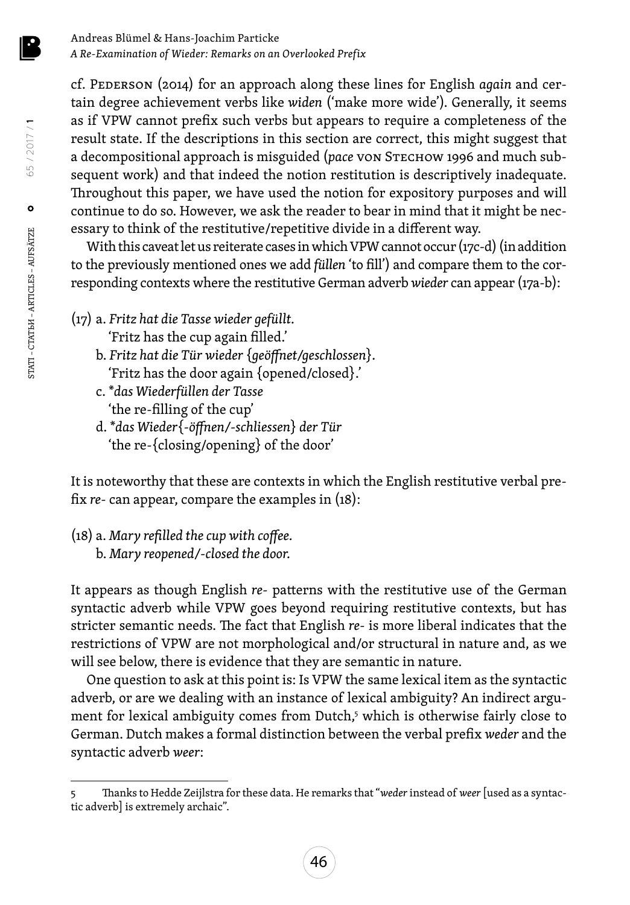cf. Pederson (2014) for an approach along these lines for English *again* and certain degree achievement verbs like *widen* ('make more wide'). Generally, it seems as if VPW cannot prefix such verbs but appears to require a completeness of the result state. If the descriptions in this section are correct, this might suggest that a decompositional approach is misguided (*pace* von Stechow 1996 and much subsequent work) and that indeed the notion restitution is descriptively inadequate. Throughout this paper, we have used the notion for expository purposes and will continue to do so. However, we ask the reader to bear in mind that it might be necessary to think of the restitutive/repetitive divide in a different way.

With this caveat let us reiterate cases in which VPW cannot occur (17c-d) (in addition to the previously mentioned ones we add *füllen* 'to fill') and compare them to the corresponding contexts where the restitutive German adverb *wieder* can appear (17a-b):

- (17) a. *Fritz hat die Tasse wieder gefüllt.* 'Fritz has the cup again filled.'
	- b. *Fritz hat die Tür wieder* {*geöffnet/geschlossen*}*.* 'Fritz has the door again {opened/closed}.'
	- c. \**das Wiederfüllen der Tasse* 'the re-filling of the cup'
	- d. \**das Wieder*{*-öffnen/-schliessen*} *der Tür* 'the re-{closing/opening} of the door'

It is noteworthy that these are contexts in which the English restitutive verbal prefix *re*- can appear, compare the examples in (18):

(18) a. *Mary refilled the cup with coffee.* b. *Mary reopened/-closed the door.*

It appears as though English *re-* patterns with the restitutive use of the German syntactic adverb while VPW goes beyond requiring restitutive contexts, but has stricter semantic needs. The fact that English *re*- is more liberal indicates that the restrictions of VPW are not morphological and/or structural in nature and, as we will see below, there is evidence that they are semantic in nature.

One question to ask at this point is: Is VPW the same lexical item as the syntactic adverb, or are we dealing with an instance of lexical ambiguity? An indirect argument for lexical ambiguity comes from Dutch,<sup>5</sup> which is otherwise fairly close to German. Dutch makes a formal distinction between the verbal prefix *weder* and the syntactic adverb *weer*:

65 / 2017 / **1**

 $\circ$ 

65 / 2017 / 1

<sup>5</sup> Thanks to Hedde Zeijlstra for these data. He remarks that "*weder* instead of *weer* [used as a syntactic adverb] is extremely archaic".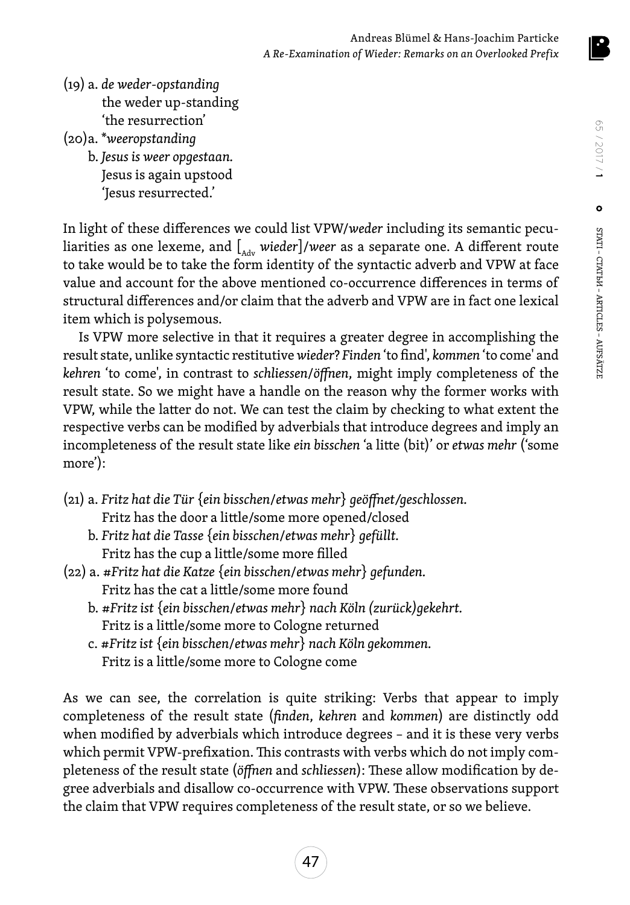

- (19) a. *de weder-opstanding* the weder up-standing 'the resurrection'
- (20)a. \**weeropstanding*
	- b. *Jesus is weer opgestaan.* Jesus is again upstood 'Jesus resurrected.'

In light of these differences we could list VPW/*weder* including its semantic peculiarities as one lexeme, and  $\int_{A}$  *wieder*]/*weer* as a separate one. A different route to take would be to take the form identity of the syntactic adverb and VPW at face value and account for the above mentioned co-occurrence differences in terms of structural differences and/or claim that the adverb and VPW are in fact one lexical item which is polysemous.

Is VPW more selective in that it requires a greater degree in accomplishing the result state, unlike syntactic restitutive *wieder*? *Finden* 'to find', *kommen* 'to come' and *kehren* 'to come', in contrast to *schliessen*/*öffnen*, might imply completeness of the result state. So we might have a handle on the reason why the former works with VPW, while the latter do not. We can test the claim by checking to what extent the respective verbs can be modified by adverbials that introduce degrees and imply an incompleteness of the result state like *ein bisschen* 'a litte (bit)' or *etwas mehr* ('some more'):

- (21) a. *Fritz hat die Tür* {*ein bisschen*/*etwas mehr*} *geöffnet/geschlossen.* Fritz has the door a little/some more opened/closed
	- b. *Fritz hat die Tasse* {*ein bisschen*/*etwas mehr*} *gefüllt.* Fritz has the cup a little/some more filled
- (22) a. #*Fritz hat die Katze* {*ein bisschen*/*etwas mehr*} *gefunden.* Fritz has the cat a little/some more found
	- b. #*Fritz ist* {*ein bisschen*/*etwas mehr*} *nach Köln (zurück)gekehrt.* Fritz is a little/some more to Cologne returned
	- c. #*Fritz ist* {*ein bisschen*/*etwas mehr*} *nach Köln gekommen.* Fritz is a little/some more to Cologne come

As we can see, the correlation is quite striking: Verbs that appear to imply completeness of the result state (*finden*, *kehren* and *kommen*) are distinctly odd when modified by adverbials which introduce degrees – and it is these very verbs which permit VPW-prefixation. This contrasts with verbs which do not imply completeness of the result state (*öffnen* and *schliessen*): These allow modification by degree adverbials and disallow co-occurrence with VPW. These observations support the claim that VPW requires completeness of the result state, or so we believe.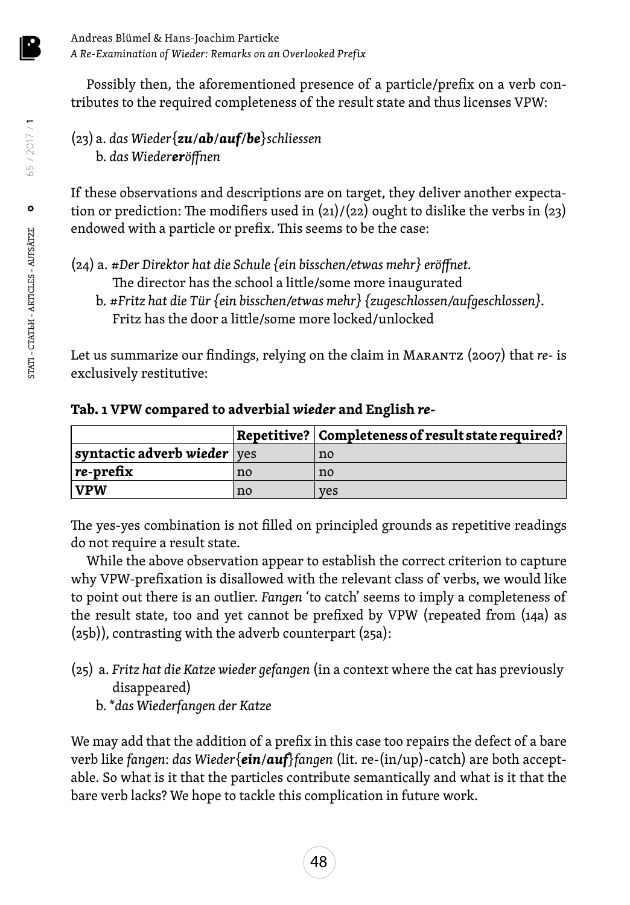Possibly then, the aforementioned presence of a particle/prefix on a verb contributes to the required completeness of the result state and thus licenses VPW:

#### (23) a. *das Wieder*{*zu*/*ab*/*auf*/*be*}*schliessen* b. *das Wiedereröffnen*

If these observations and descriptions are on target, they deliver another expectation or prediction: The modifiers used in  $\frac{21}{22}$  ought to dislike the verbs in  $\frac{23}{2}$ endowed with a particle or prefix. This seems to be the case:

(24) a. #*Der Direktor hat die Schule {ein bisschen/etwas mehr} eröffnet.* The director has the school a little/some more inaugurated

b. #*Fritz hat die Tür {ein bisschen/etwas mehr} {zugeschlossen/aufgeschlossen}.* Fritz has the door a little/some more locked/unlocked

Let us summarize our findings, relying on the claim in Marantz (2007) that *re-* is exclusively restitutive:

|                             |    | Repetitive?   Completeness of result state required? |
|-----------------------------|----|------------------------------------------------------|
| syntactic adverb wieder ves |    | no                                                   |
| $ $ re-prefix               | no | no                                                   |
| $\mathbf{V}$ PW             | no | yes                                                  |

**Tab. 1 VPW compared to adverbial** *wieder* **and English** *re-*

The yes-yes combination is not filled on principled grounds as repetitive readings do not require a result state.

While the above observation appear to establish the correct criterion to capture why VPW-prefixation is disallowed with the relevant class of verbs, we would like to point out there is an outlier. *Fangen* 'to catch' seems to imply a completeness of the result state, too and yet cannot be prefixed by VPW (repeated from (14a) as (25b)), contrasting with the adverb counterpart (25a):

- (25) a. *Fritz hat die Katze wieder gefangen* (in a context where the cat has previously disappeared)
	- b. \**das Wiederfangen der Katze*

We may add that the addition of a prefix in this case too repairs the defect of a bare verb like *fangen*: *das Wieder*{*ein*/*auf*}*fangen* (lit. re-(in/up)-catch) are both acceptable. So what is it that the particles contribute semantically and what is it that the bare verb lacks? We hope to tackle this complication in future work.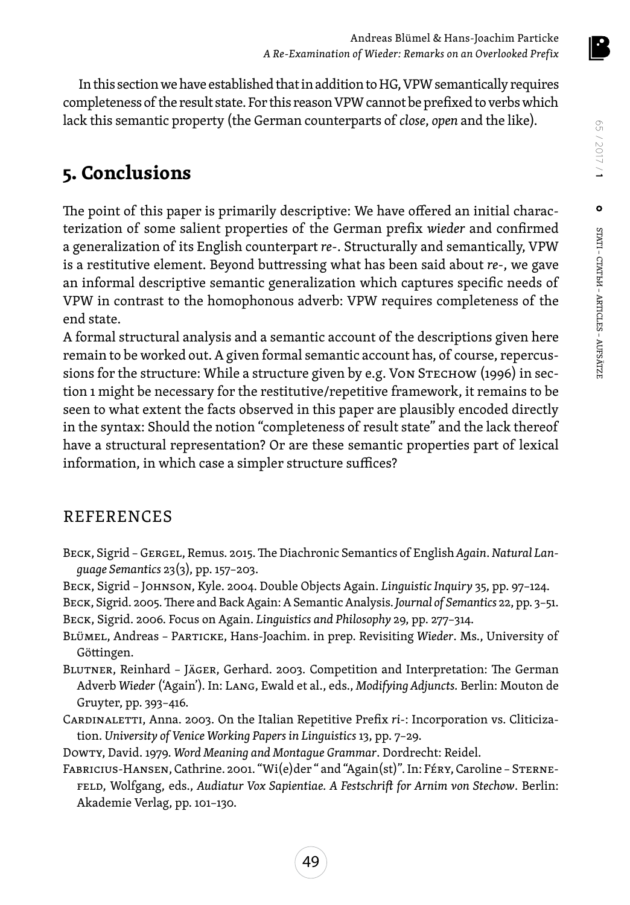In this section we have established that in addition to HG, VPW semantically requires completeness of the result state. For this reason VPW cannot be prefixed to verbs which lack this semantic property (the German counterparts of *close*, *open* and the like).

## **5. Conclusions**

The point of this paper is primarily descriptive: We have offered an initial characterization of some salient properties of the German prefix *wieder* and confirmed a generalization of its English counterpart *re*-. Structurally and semantically, VPW is a restitutive element. Beyond buttressing what has been said about *re-*, we gave an informal descriptive semantic generalization which captures specific needs of VPW in contrast to the homophonous adverb: VPW requires completeness of the end state.

A formal structural analysis and a semantic account of the descriptions given here remain to be worked out. A given formal semantic account has, of course, repercussions for the structure: While a structure given by e.g. Von STECHOW (1996) in section 1 might be necessary for the restitutive/repetitive framework, it remains to be seen to what extent the facts observed in this paper are plausibly encoded directly in the syntax: Should the notion "completeness of result state" and the lack thereof have a structural representation? Or are these semantic properties part of lexical information, in which case a simpler structure suffices?

#### REFERENCES

- Beck, Sigrid Gergel, Remus. 2015. The Diachronic Semantics of English *Again*. *Natural Language Semantics* 23(3), pp. 157–203.
- Beck, Sigrid Johnson, Kyle. 2004. Double Objects Again. *Linguistic Inquiry* 35, pp. 97–124.
- Beck, Sigrid. 2005. There and Back Again: A Semantic Analysis. *Journal of Semantics* 22, pp. 3–51. Beck, Sigrid. 2006. Focus on Again. *Linguistics and Philosophy* 29, pp. 277–314.
- Blümel, Andreas Particke, Hans-Joachim. in prep. Revisiting *Wieder*. Ms., University of Göttingen.
- Blutner, Reinhard Jäger, Gerhard. 2003. Competition and Interpretation: The German Adverb *Wieder* ('Again'). In: Lang, Ewald et al., eds., *Modifying Adjuncts.* Berlin: Mouton de Gruyter, pp. 393–416.
- Cardinaletti, Anna. 2003. On the Italian Repetitive Prefix *ri-*: Incorporation vs. Cliticization. *University of Venice Working Papers in Linguistics* 13, pp. 7–29.
- Dowty, David. 1979. *Word Meaning and Montague Grammar*. Dordrecht: Reidel.
- Fabricius-Hansen, Cathrine. 2001. "Wi(e)der " and "Again(st)". In: Féry, Caroline Sternefeld, Wolfgang, eds., *Audiatur Vox Sapientiae. A Festschrift for Arnim von Stechow*. Berlin: Akademie Verlag, pp. 101–130.